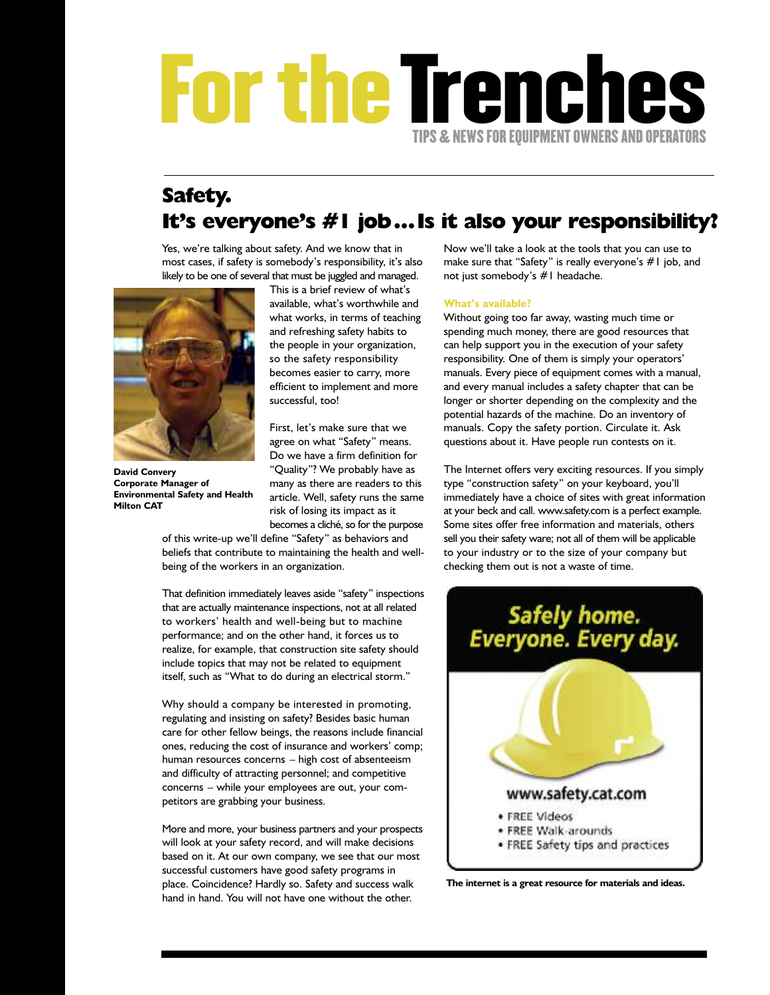## **FortheTrenches TIPS&NEWS FOR EQUIPMENT OWNERS AND OPERATORS**

### **Safety. It's everyone's #1 job…Is it also your responsibility?**

Yes, we're talking about safety. And we know that in most cases, if safety is somebody's responsibility, it's also likely to be one of several that must be juggled and managed.



**David Convery Corporate Manager of Environmental Safety and Health Milton CAT**

This is a brief review of what's available, what's worthwhile and what works, in terms of teaching and refreshing safety habits to the people in your organization, so the safety responsibility becomes easier to carry, more efficient to implement and more successful, too!

First, let's make sure that we agree on what "Safety" means. Do we have a firm definition for "Quality"? We probably have as many as there are readers to this article. Well, safety runs the same risk of losing its impact as it becomes a cliché, so for the purpose

of this write-up we'll define "Safety" as behaviors and beliefs that contribute to maintaining the health and wellbeing of the workers in an organization.

That definition immediately leaves aside "safety" inspections that are actually maintenance inspections, not at all related to workers' health and well-being but to machine performance; and on the other hand, it forces us to realize, for example, that construction site safety should include topics that may not be related to equipment itself, such as "What to do during an electrical storm."

Why should a company be interested in promoting, regulating and insisting on safety? Besides basic human care for other fellow beings, the reasons include financial ones, reducing the cost of insurance and workers' comp; human resources concerns – high cost of absenteeism and difficulty of attracting personnel; and competitive concerns – while your employees are out, your competitors are grabbing your business.

More and more, your business partners and your prospects will look at your safety record, and will make decisions based on it. At our own company, we see that our most successful customers have good safety programs in place. Coincidence? Hardly so. Safety and success walk hand in hand. You will not have one without the other.

Now we'll take a look at the tools that you can use to make sure that "Safety" is really everyone's #1 job, and not just somebody's #1 headache.

### **What's available?**

Without going too far away, wasting much time or spending much money, there are good resources that can help support you in the execution of your safety responsibility. One of them is simply your operators' manuals. Every piece of equipment comes with a manual, and every manual includes a safety chapter that can be longer or shorter depending on the complexity and the potential hazards of the machine. Do an inventory of manuals. Copy the safety portion. Circulate it. Ask questions about it. Have people run contests on it.

The Internet offers very exciting resources. If you simply type "construction safety" on your keyboard, you'll immediately have a choice of sites with great information at your beck and call. www.safety.com is a perfect example. Some sites offer free information and materials, others sell you their safety ware; not all of them will be applicable to your industry or to the size of your company but checking them out is not a waste of time.



**The internet is a great resource for materials and ideas.**